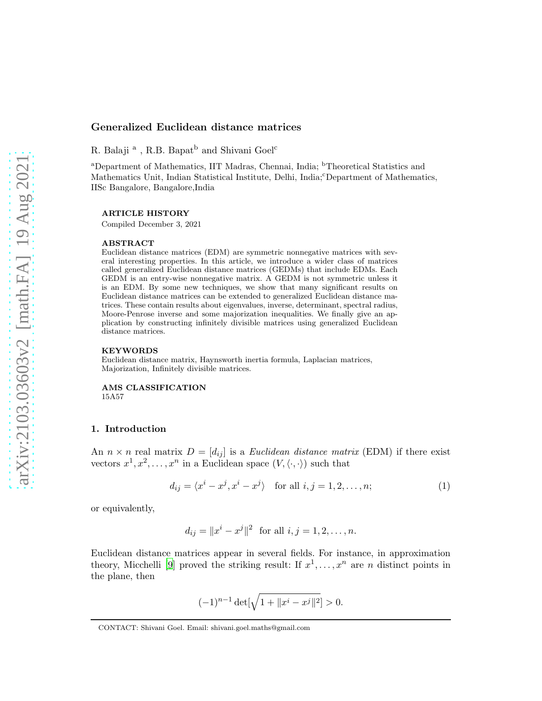# Generalized Euclidean distance matrices

R. Balaji $^{\rm a}$  , R.B. Bapat<sup>b</sup> and Shivani Goel<sup>c</sup>

<sup>a</sup>Department of Mathematics, IIT Madras, Chennai, India; <sup>b</sup>Theoretical Statistics and Mathematics Unit, Indian Statistical Institute, Delhi, India; Department of Mathematics, IISc Bangalore, Bangalore,India

### ARTICLE HISTORY

Compiled December 3, 2021

#### ABSTRACT

Euclidean distance matrices (EDM) are symmetric nonnegative matrices with several interesting properties. In this article, we introduce a wider class of matrices called generalized Euclidean distance matrices (GEDMs) that include EDMs. Each GEDM is an entry-wise nonnegative matrix. A GEDM is not symmetric unless it is an EDM. By some new techniques, we show that many significant results on Euclidean distance matrices can be extended to generalized Euclidean distance matrices. These contain results about eigenvalues, inverse, determinant, spectral radius, Moore-Penrose inverse and some majorization inequalities. We finally give an application by constructing infinitely divisible matrices using generalized Euclidean distance matrices.

### KEYWORDS

Euclidean distance matrix, Haynsworth inertia formula, Laplacian matrices, Majorization, Infinitely divisible matrices.

AMS CLASSIFICATION 15A57

### 1. Introduction

An  $n \times n$  real matrix  $D = [d_{ij}]$  is a *Euclidean distance matrix* (EDM) if there exist vectors  $x^1, x^2, \ldots, x^n$  in a Euclidean space  $(V, \langle \cdot, \cdot \rangle)$  such that

<span id="page-0-0"></span>
$$
d_{ij} = \langle x^i - x^j, x^i - x^j \rangle \quad \text{for all } i, j = 1, 2, \dots, n; \tag{1}
$$

or equivalently,

$$
d_{ij} = ||x^i - x^j||^2
$$
 for all  $i, j = 1, 2, ..., n$ .

Euclidean distance matrices appear in several fields. For instance, in approximation theory, Micchelli [\[9](#page-22-0)] proved the striking result: If  $x^1, \ldots, x^n$  are n distinct points in the plane, then

$$
(-1)^{n-1} \det[\sqrt{1 + \|x^i - x^j\|^2}] > 0.
$$

CONTACT: Shivani Goel. Email: shivani.goel.maths@gmail.com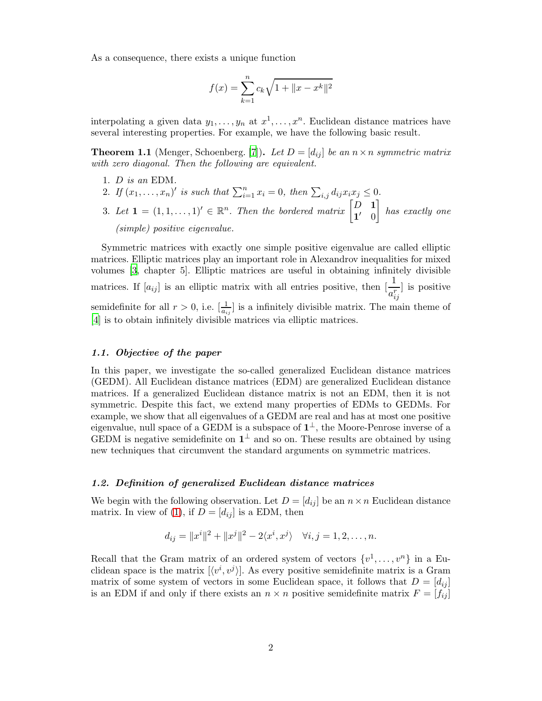As a consequence, there exists a unique function

$$
f(x) = \sum_{k=1}^{n} c_k \sqrt{1 + \|x - x^k\|^2}
$$

interpolating a given data  $y_1, \ldots, y_n$  at  $x^1, \ldots, x^n$ . Euclidean distance matrices have several interesting properties. For example, we have the following basic result.

**Theorem 1.1** (Menger, Schoenberg. [\[7](#page-22-1)]). Let  $D = [d_{ij}]$  be an  $n \times n$  symmetric matrix with zero diagonal. Then the following are equivalent.

- 1. D is an EDM.
- 2. If  $(x_1, ..., x_n)'$  is such that  $\sum_{i=1}^n x_i = 0$ , then  $\sum_{i,j} d_{ij} x_i x_j \leq 0$ .
- 3. Let  $\mathbf{1} = (1, 1, \dots, 1)' \in \mathbb{R}^n$ . Then the bordered matrix  $\begin{bmatrix} D & \mathbf{1} \\ \mathbf{1}' & 0 \end{bmatrix}$  $1' \quad 0$ 1 has exactly one (simple) positive eigenvalue.

Symmetric matrices with exactly one simple positive eigenvalue are called elliptic matrices. Elliptic matrices play an important role in Alexandrov inequalities for mixed volumes [\[3,](#page-22-2) chapter 5]. Elliptic matrices are useful in obtaining infinitely divisible matrices. If  $[a_{ij}]$  is an elliptic matrix with all entries positive, then  $\left[\frac{1}{a_{ij}^r}\right]$ ] is positive semidefinite for all  $r > 0$ , i.e.  $\left[\frac{1}{a_{ij}}\right]$  is a infinitely divisible matrix. The main theme of [\[4](#page-22-3)] is to obtain infinitely divisible matrices via elliptic matrices.

## 1.1. Objective of the paper

In this paper, we investigate the so-called generalized Euclidean distance matrices (GEDM). All Euclidean distance matrices (EDM) are generalized Euclidean distance matrices. If a generalized Euclidean distance matrix is not an EDM, then it is not symmetric. Despite this fact, we extend many properties of EDMs to GEDMs. For example, we show that all eigenvalues of a GEDM are real and has at most one positive eigenvalue, null space of a GEDM is a subspace of  $1^{\perp}$ , the Moore-Penrose inverse of a GEDM is negative semidefinite on  $1^{\perp}$  and so on. These results are obtained by using new techniques that circumvent the standard arguments on symmetric matrices.

### 1.2. Definition of generalized Euclidean distance matrices

We begin with the following observation. Let  $D = [d_{ij}]$  be an  $n \times n$  Euclidean distance matrix. In view of [\(1\)](#page-0-0), if  $D = [d_{ij}]$  is a EDM, then

$$
d_{ij} = ||x^i||^2 + ||x^j||^2 - 2\langle x^i, x^j \rangle \quad \forall i, j = 1, 2, \dots, n.
$$

Recall that the Gram matrix of an ordered system of vectors  $\{v^1, \ldots, v^n\}$  in a Euclidean space is the matrix  $[\langle v^i, v^j \rangle]$ . As every positive semidefinite matrix is a Gram matrix of some system of vectors in some Euclidean space, it follows that  $D = [d_{ij}]$ is an EDM if and only if there exists an  $n \times n$  positive semidefinite matrix  $F = [f_{ij}]$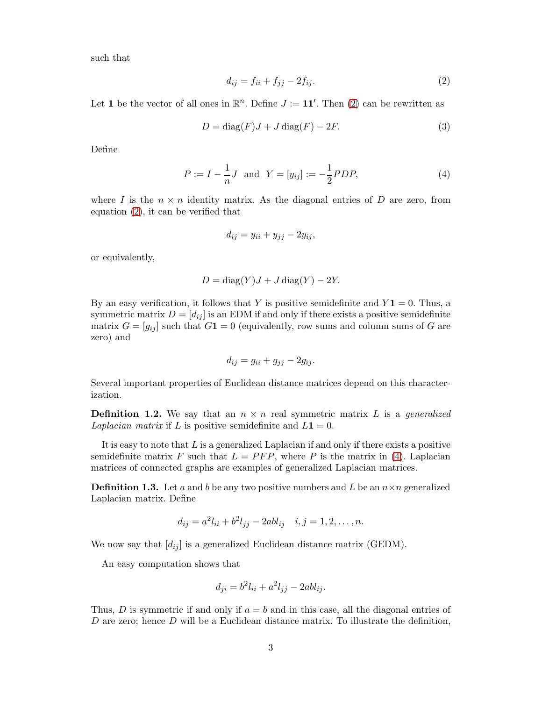such that

<span id="page-2-0"></span>
$$
d_{ij} = f_{ii} + f_{jj} - 2f_{ij}.\tag{2}
$$

Let 1 be the vector of all ones in  $\mathbb{R}^n$ . Define  $J := 11'$ . Then [\(2\)](#page-2-0) can be rewritten as

$$
D = diag(F)J + J diag(F) - 2F.
$$
\n(3)

Define

<span id="page-2-1"></span>
$$
P := I - \frac{1}{n}J \text{ and } Y = [y_{ij}] := -\frac{1}{2}PDP,
$$
\n(4)

where I is the  $n \times n$  identity matrix. As the diagonal entries of D are zero, from equation [\(2\)](#page-2-0), it can be verified that

$$
d_{ij} = y_{ii} + y_{jj} - 2y_{ij},
$$

or equivalently,

$$
D = \text{diag}(Y)J + J\,\text{diag}(Y) - 2Y
$$

By an easy verification, it follows that Y is positive semidefinite and  $Y\mathbf{1} = 0$ . Thus, a symmetric matrix  $D = [d_{ij}]$  is an EDM if and only if there exists a positive semidefinite matrix  $G = [g_{ij}]$  such that  $G_1 = 0$  (equivalently, row sums and column sums of G are zero) and

$$
d_{ij} = g_{ii} + g_{jj} - 2g_{ij}.
$$

Several important properties of Euclidean distance matrices depend on this characterization.

**Definition 1.2.** We say that an  $n \times n$  real symmetric matrix L is a *generalized* Laplacian matrix if L is positive semidefinite and  $L1 = 0$ .

It is easy to note that  $L$  is a generalized Laplacian if and only if there exists a positive semidefinite matrix F such that  $L = PFP$ , where P is the matrix in [\(4\)](#page-2-1). Laplacian matrices of connected graphs are examples of generalized Laplacian matrices.

**Definition 1.3.** Let a and b be any two positive numbers and L be an  $n \times n$  generalized Laplacian matrix. Define

$$
d_{ij} = a^2 l_{ii} + b^2 l_{jj} - 2ab l_{ij} \quad i, j = 1, 2, \dots, n.
$$

We now say that  $[d_{ij}]$  is a generalized Euclidean distance matrix (GEDM).

An easy computation shows that

$$
d_{ji} = b^2 l_{ii} + a^2 l_{jj} - 2ab l_{ij}.
$$

Thus, D is symmetric if and only if  $a = b$  and in this case, all the diagonal entries of D are zero; hence  $D$  will be a Euclidean distance matrix. To illustrate the definition,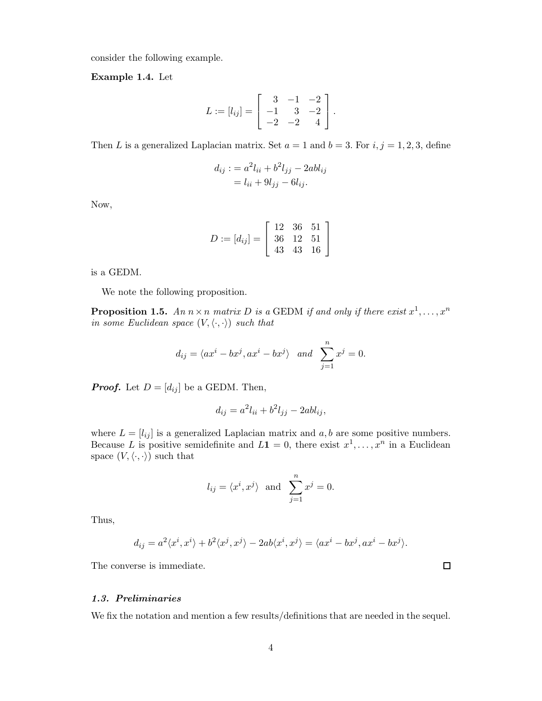consider the following example.

<span id="page-3-0"></span>Example 1.4. Let

$$
L := [l_{ij}] = \begin{bmatrix} 3 & -1 & -2 \\ -1 & 3 & -2 \\ -2 & -2 & 4 \end{bmatrix}.
$$

Then L is a generalized Laplacian matrix. Set  $a = 1$  and  $b = 3$ . For  $i, j = 1, 2, 3$ , define

$$
d_{ij} := a^2 l_{ii} + b^2 l_{jj} - 2ab l_{ij}
$$

$$
= l_{ii} + 9l_{jj} - 6l_{ij}.
$$

Now,

$$
D := [d_{ij}] = \left[\begin{array}{rrr} 12 & 36 & 51 \\ 36 & 12 & 51 \\ 43 & 43 & 16 \end{array}\right]
$$

is a GEDM.

We note the following proposition.

**Proposition 1.5.** An  $n \times n$  matrix D is a GEDM if and only if there exist  $x^1, \ldots, x^n$ in some Euclidean space  $(V, \langle \cdot, \cdot \rangle)$  such that

$$
d_{ij} = \langle ax^i - bx^j, ax^i - bx^j \rangle
$$
 and  $\sum_{j=1}^n x^j = 0.$ 

**Proof.** Let  $D = [d_{ij}]$  be a GEDM. Then,

$$
d_{ij} = a^2 l_{ii} + b^2 l_{jj} - 2ab l_{ij},
$$

where  $L = [l_{ij}]$  is a generalized Laplacian matrix and  $a, b$  are some positive numbers. Because L is positive semidefinite and  $L1 = 0$ , there exist  $x^1, \ldots, x^n$  in a Euclidean space  $(V, \langle \cdot, \cdot \rangle)$  such that

$$
l_{ij} = \langle x^i, x^j \rangle
$$
 and  $\sum_{j=1}^n x^j = 0$ .

Thus,

$$
d_{ij} = a^2 \langle x^i, x^i \rangle + b^2 \langle x^j, x^j \rangle - 2ab \langle x^i, x^j \rangle = \langle ax^i - bx^j, ax^i - bx^j \rangle.
$$

The converse is immediate.

# 1.3. Preliminaries

We fix the notation and mention a few results/definitions that are needed in the sequel.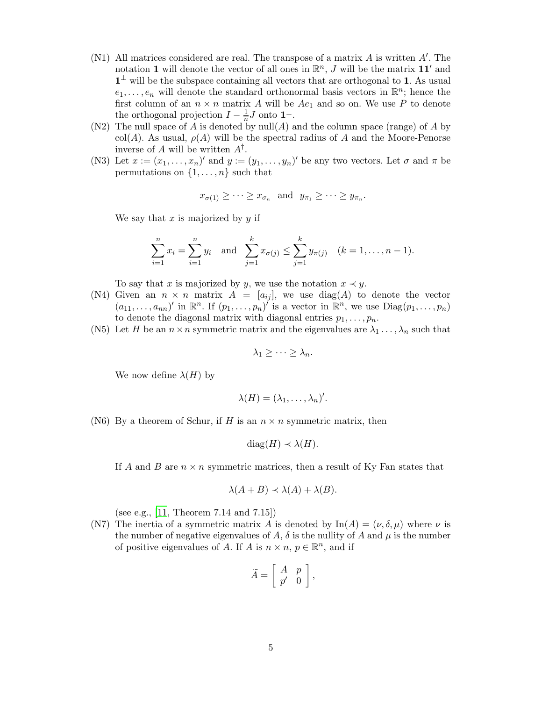- (N1) All matrices considered are real. The transpose of a matrix A is written A′ . The notation 1 will denote the vector of all ones in  $\mathbb{R}^n$ , J will be the matrix  $11'$  and  $1<sup>\perp</sup>$  will be the subspace containing all vectors that are orthogonal to 1. As usual  $e_1, \ldots, e_n$  will denote the standard orthonormal basis vectors in  $\mathbb{R}^n$ ; hence the first column of an  $n \times n$  matrix A will be  $Ae_1$  and so on. We use P to denote the orthogonal projection  $I - \frac{1}{n}J$  onto  $\mathbf{1}^{\perp}$ .
- (N2) The null space of A is denoted by  $null(A)$  and the column space (range) of A by col(A). As usual,  $\rho(A)$  will be the spectral radius of A and the Moore-Penorse inverse of A will be written  $A^{\dagger}$ .
- (N3) Let  $x := (x_1, \ldots, x_n)'$  and  $y := (y_1, \ldots, y_n)'$  be any two vectors. Let  $\sigma$  and  $\pi$  be permutations on  $\{1, \ldots, n\}$  such that

$$
x_{\sigma(1)} \geq \cdots \geq x_{\sigma_n}
$$
 and  $y_{\pi_1} \geq \cdots \geq y_{\pi_n}$ .

We say that  $x$  is majorized by  $y$  if

$$
\sum_{i=1}^{n} x_i = \sum_{i=1}^{n} y_i \text{ and } \sum_{j=1}^{k} x_{\sigma(j)} \le \sum_{j=1}^{k} y_{\pi(j)} \quad (k = 1, \dots, n-1).
$$

To say that x is majorized by y, we use the notation  $x \prec y$ .

- (N4) Given an  $n \times n$  matrix  $A = [a_{ij}]$ , we use  $diag(A)$  to denote the vector  $(a_{11},\ldots,a_{nn})'$  in  $\mathbb{R}^n$ . If  $(p_1,\ldots,p_n)'$  is a vector in  $\mathbb{R}^n$ , we use  $Diag(p_1,\ldots,p_n)$ to denote the diagonal matrix with diagonal entries  $p_1, \ldots, p_n$ .
- (N5) Let H be an  $n \times n$  symmetric matrix and the eigenvalues are  $\lambda_1 \ldots, \lambda_n$  such that

$$
\lambda_1 \geq \cdots \geq \lambda_n.
$$

We now define  $\lambda(H)$  by

$$
\lambda(H)=(\lambda_1,\ldots,\lambda_n)'
$$

(N6) By a theorem of Schur, if H is an  $n \times n$  symmetric matrix, then

$$
diag(H) \prec \lambda(H).
$$

If A and B are  $n \times n$  symmetric matrices, then a result of Ky Fan states that

$$
\lambda(A+B) \prec \lambda(A) + \lambda(B).
$$

(see e.g., [\[11,](#page-22-4) Theorem 7.14 and 7.15])

<span id="page-4-0"></span>(N7) The inertia of a symmetric matrix A is denoted by  $\text{In}(A) = (\nu, \delta, \mu)$  where  $\nu$  is the number of negative eigenvalues of A,  $\delta$  is the nullity of A and  $\mu$  is the number of positive eigenvalues of A. If A is  $n \times n$ ,  $p \in \mathbb{R}^n$ , and if

$$
\widetilde{A} = \left[ \begin{array}{cc} A & p \\ p' & 0 \end{array} \right],
$$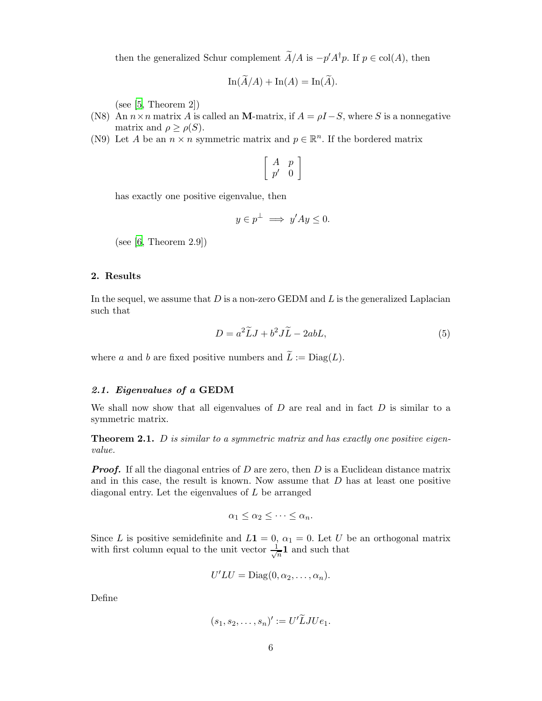then the generalized Schur complement  $A/A$  is  $-p'A^{\dagger}p$ . If  $p \in col(A)$ , then

$$
\operatorname{In}(\widetilde{A}/A) + \operatorname{In}(A) = \operatorname{In}(\widetilde{A}).
$$

(see  $[5,$  Theorem 2])

- (N8) An  $n \times n$  matrix A is called an M-matrix, if  $A = \rho I S$ , where S is a nonnegative matrix and  $\rho \geq \rho(S)$ .
- <span id="page-5-1"></span>(N9) Let A be an  $n \times n$  symmetric matrix and  $p \in \mathbb{R}^n$ . If the bordered matrix

$$
\left[\begin{array}{cc}A&p\\p'&0\end{array}\right]
$$

has exactly one positive eigenvalue, then

$$
y \in p^{\perp} \implies y'Ay \le 0.
$$

(see  $[6,$  Theorem 2.9])

# 2. Results

In the sequel, we assume that  $D$  is a non-zero GEDM and  $L$  is the generalized Laplacian such that

$$
D = a^2 \widetilde{L} J + b^2 J \widetilde{L} - 2abL,\tag{5}
$$

where a and b are fixed positive numbers and  $\tilde{L} := \text{Diag}(L)$ .

## 2.1. Eigenvalues of a GEDM

We shall now show that all eigenvalues of  $D$  are real and in fact  $D$  is similar to a symmetric matrix.

<span id="page-5-0"></span>**Theorem 2.1.** D is similar to a symmetric matrix and has exactly one positive eigenvalue.

**Proof.** If all the diagonal entries of D are zero, then D is a Euclidean distance matrix and in this case, the result is known. Now assume that  $D$  has at least one positive diagonal entry. Let the eigenvalues of L be arranged

$$
\alpha_1 \leq \alpha_2 \leq \cdots \leq \alpha_n.
$$

Since L is positive semidefinite and  $L1 = 0$ ,  $\alpha_1 = 0$ . Let U be an orthogonal matrix with first column equal to the unit vector  $\frac{1}{\sqrt{2}}$  $\frac{1}{n}$ **1** and such that

$$
U'LU = \text{Diag}(0, \alpha_2, \ldots, \alpha_n).
$$

Define

$$
(s_1, s_2, \ldots, s_n)' := U'\widetilde{L}JUe_1.
$$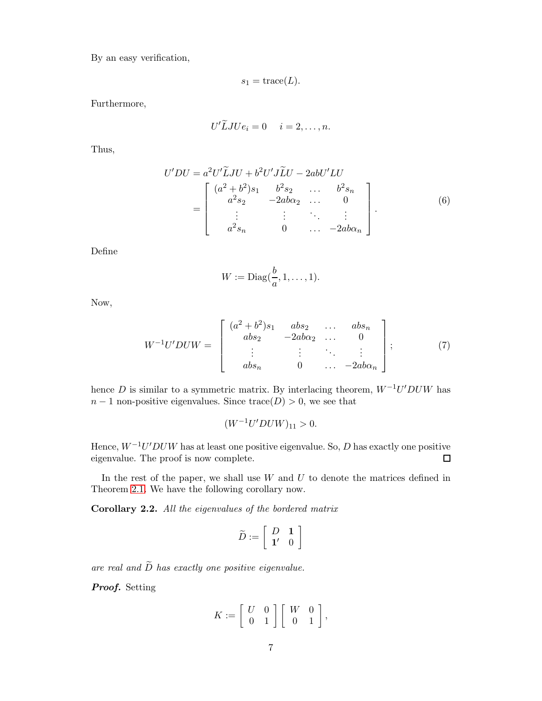By an easy verification,

$$
s_1 = \text{trace}(L).
$$

Furthermore,

$$
U' LJUe_i = 0 \quad i = 2, \ldots, n.
$$

Thus,

<span id="page-6-1"></span>
$$
U'DU = a^2U'\tilde{L}JU + b^2U'J\tilde{L}U - 2abU'LU
$$
  
= 
$$
\begin{bmatrix} (a^2 + b^2)s_1 & b^2s_2 & \dots & b^2s_n \\ a^2s_2 & -2ab\alpha_2 & \dots & 0 \\ \vdots & \vdots & \ddots & \vdots \\ a^2s_n & 0 & \dots & -2ab\alpha_n \end{bmatrix}.
$$
 (6)

Define

$$
W := \mathrm{Diag}(\frac{b}{a}, 1, \ldots, 1).
$$

Now,

<span id="page-6-0"></span>
$$
W^{-1}U'DUW = \begin{bmatrix} (a^2 + b^2)s_1 & abs_2 & \dots & abs_n \\ abs_2 & -2ab\alpha_2 & \dots & 0 \\ \vdots & \vdots & \ddots & \vdots \\ abs_n & 0 & \dots & -2ab\alpha_n \end{bmatrix};
$$
 (7)

hence D is similar to a symmetric matrix. By interlacing theorem,  $W^{-1}U'DUW$  has  $n-1$  non-positive eigenvalues. Since  $trace(D) > 0$ , we see that

$$
(W^{-1}U'DUW)_{11} > 0.
$$

Hence,  $W^{-1}U'DUW$  has at least one positive eigenvalue. So, D has exactly one positive eigenvalue. The proof is now complete.  $\Box$ 

In the rest of the paper, we shall use  $W$  and  $U$  to denote the matrices defined in Theorem 2.[1.](#page-5-0) We have the following corollary now.

<span id="page-6-2"></span>Corollary 2.2. All the eigenvalues of the bordered matrix

$$
\widetilde{D}:=\left[\begin{array}{cc} D & \mathbf{1} \\ \mathbf{1'} & 0 \end{array}\right]
$$

are real and  $\widetilde{D}$  has exactly one positive eigenvalue.

Proof. Setting

$$
K := \left[ \begin{array}{cc} U & 0 \\ 0 & 1 \end{array} \right] \left[ \begin{array}{cc} W & 0 \\ 0 & 1 \end{array} \right],
$$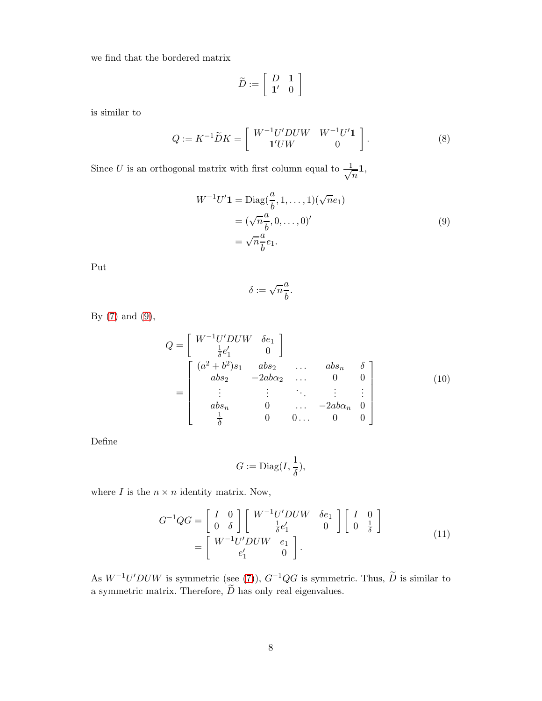we find that the bordered matrix

$$
\tilde{D}:=\left[\begin{array}{cc} D & \mathbf{1} \\ \mathbf{1'} & 0 \end{array}\right]
$$

is similar to

$$
Q := K^{-1} \widetilde{D} K = \left[ \begin{array}{cc} W^{-1} U' D U W & W^{-1} U' \mathbf{1} \\ \mathbf{1}' U W & 0 \end{array} \right]. \tag{8}
$$

Since U is an orthogonal matrix with first column equal to  $\frac{1}{\sqrt{2}}$  $\overline{n}^{1}$ 

<span id="page-7-0"></span>
$$
W^{-1}U'\mathbf{1} = \text{Diag}(\frac{a}{b}, 1, \dots, 1)(\sqrt{n}e_1)
$$

$$
= (\sqrt{n}\frac{a}{b}, 0, \dots, 0)'
$$

$$
= \sqrt{n}\frac{a}{b}e_1.
$$

$$
(9)
$$

Put

$$
\delta:=\sqrt{n}\frac{a}{b}.
$$

By [\(7\)](#page-6-0) and [\(9\)](#page-7-0),

$$
Q = \begin{bmatrix} W^{-1}U'DUW & \delta e_1 \\ \frac{1}{\delta}e'_1 & 0 \end{bmatrix}
$$
  
= 
$$
\begin{bmatrix} (a^2 + b^2)s_1 & abs_2 & \dots & abs_n & \delta \\ abs_2 & -2ab\alpha_2 & \dots & 0 & 0 \\ \vdots & \vdots & \ddots & \vdots & \vdots \\ abs_n & 0 & \dots & -2ab\alpha_n & 0 \\ \frac{1}{\delta} & 0 & 0 & \dots & 0 & 0 \end{bmatrix}
$$
 (10)

Define

$$
G := \text{Diag}(I, \frac{1}{\delta}),
$$

where  $I$  is the  $n \times n$  identity matrix. Now,

<span id="page-7-1"></span>
$$
G^{-1}QG = \begin{bmatrix} I & 0 \\ 0 & \delta \end{bmatrix} \begin{bmatrix} W^{-1}U'DUW & \delta e_1 \\ \frac{1}{\delta}e'_1 & 0 \end{bmatrix} \begin{bmatrix} I & 0 \\ 0 & \frac{1}{\delta} \end{bmatrix}
$$

$$
= \begin{bmatrix} W^{-1}U'DUW & e_1 \\ e'_1 & 0 \end{bmatrix}.
$$
 (11)

As  $W^{-1}U'DUW$  is symmetric (see [\(7\)](#page-6-0)),  $G^{-1}QG$  is symmetric. Thus,  $\ddot{D}$  is similar to a symmetric matrix. Therefore,  $\widetilde{D}$  has only real eigenvalues.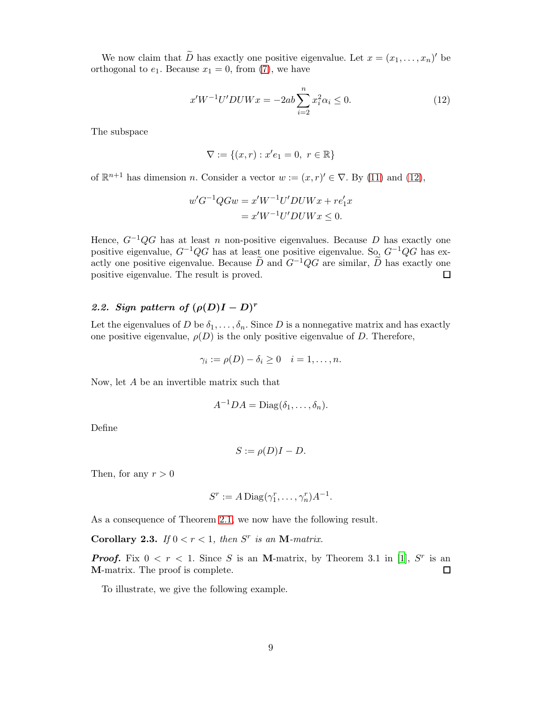We now claim that D has exactly one positive eigenvalue. Let  $x = (x_1, \ldots, x_n)'$  be orthogonal to  $e_1$ . Because  $x_1 = 0$ , from [\(7\)](#page-6-0), we have

<span id="page-8-0"></span>
$$
x'W^{-1}U'DUWx = -2ab\sum_{i=2}^{n} x_i^2 \alpha_i \le 0.
$$
 (12)

The subspace

$$
\nabla:=\{(x,r):x'e_1=0,\ r\in\mathbb{R}\}
$$

of  $\mathbb{R}^{n+1}$  has dimension *n*. Consider a vector  $w := (x, r)' \in \nabla$ . By [\(11\)](#page-7-1) and [\(12\)](#page-8-0),

$$
w'G^{-1}QGw = x'W^{-1}U'DUWx + re'_1x
$$

$$
= x'W^{-1}U'DUWx \le 0.
$$

Hence,  $G^{-1}QG$  has at least n non-positive eigenvalues. Because D has exactly one positive eigenvalue,  $G^{-1}QG$  has at least one positive eigenvalue. So,  $G^{-1}QG$  has exactly one positive eigenvalue. Because  $\widetilde{D}$  and  $G^{-1}QG$  are similar,  $\widetilde{D}$  has exactly one positive eigenvalue. The result is proved. positive eigenvalue. The result is proved.

# 2.2. Sign pattern of  $(\rho(D)I - D)^r$

Let the eigenvalues of D be  $\delta_1, \ldots, \delta_n$ . Since D is a nonnegative matrix and has exactly one positive eigenvalue,  $\rho(D)$  is the only positive eigenvalue of D. Therefore,

$$
\gamma_i := \rho(D) - \delta_i \ge 0 \quad i = 1, \dots, n.
$$

Now, let A be an invertible matrix such that

$$
A^{-1}DA = \text{Diag}(\delta_1,\ldots,\delta_n).
$$

Define

$$
S := \rho(D)I - D.
$$

Then, for any  $r > 0$ 

$$
S^r := A \operatorname{Diag}(\gamma_1^r, \dots, \gamma_n^r) A^{-1}.
$$

As a consequence of Theorem [2.1,](#page-5-0) we now have the following result.

Corollary 2.3. If  $0 < r < 1$ , then S<sup>r</sup> is an M-matrix.

**Proof.** Fix  $0 < r < 1$ . Since S is an M-matrix, by Theorem 3.1 in [\[1](#page-21-0)], S<sup>T</sup> is an M-matrix. The proof is complete.  $\Box$ 

To illustrate, we give the following example.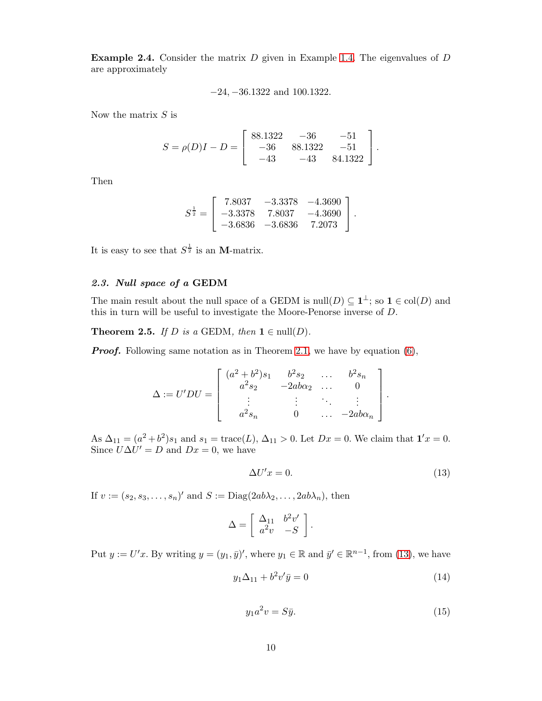**Example 2.4.** Consider the matrix  $D$  given in Example [1.4.](#page-3-0) The eigenvalues of  $D$ are approximately

$$
-24, -36.1322
$$
 and 100.1322.

Now the matrix  $S$  is

$$
S = \rho(D)I - D = \begin{bmatrix} 88.1322 & -36 & -51 \\ -36 & 88.1322 & -51 \\ -43 & -43 & 84.1322 \end{bmatrix}.
$$

Then

$$
S^{\frac{1}{2}} = \begin{bmatrix} 7.8037 & -3.3378 & -4.3690 \\ -3.3378 & 7.8037 & -4.3690 \\ -3.6836 & -3.6836 & 7.2073 \end{bmatrix}.
$$

It is easy to see that  $S^{\frac{1}{2}}$  is an **M**-matrix.

## 2.3. Null space of a GEDM

The main result about the null space of a GEDM is  $null(D) \subseteq 1^{\perp}$ ; so  $1 \in col(D)$  and this in turn will be useful to investigate the Moore-Penorse inverse of D.

<span id="page-9-3"></span>**Theorem 2.5.** If D is a GEDM, then  $1 \in null(D)$ .

**Proof.** Following same notation as in Theorem [2.1,](#page-5-0) we have by equation [\(6\)](#page-6-1),

$$
\Delta := U'DU = \begin{bmatrix} (a^2 + b^2)s_1 & b^2s_2 & \dots & b^2s_n \\ a^2s_2 & -2ab\alpha_2 & \dots & 0 \\ \vdots & \vdots & \ddots & \vdots \\ a^2s_n & 0 & \dots & -2ab\alpha_n \end{bmatrix}
$$

As  $\Delta_{11} = (a^2 + b^2)s_1$  and  $s_1 = \text{trace}(L)$ ,  $\Delta_{11} > 0$ . Let  $Dx = 0$ . We claim that  $\mathbf{1}'x = 0$ . Since  $U\Delta U' = D$  and  $Dx = 0$ , we have

<span id="page-9-0"></span>
$$
\Delta U'x = 0.\tag{13}
$$

.

If  $v := (s_2, s_3, \dots, s_n)'$  and  $S := \text{Diag}(2ab\lambda_2, \dots, 2ab\lambda_n)$ , then

$$
\Delta = \left[ \begin{array}{cc} \Delta_{11} & b^2 v' \\ a^2 v & -S \end{array} \right].
$$

Put  $y := U'x$ . By writing  $y = (y_1, \bar{y})'$ , where  $y_1 \in \mathbb{R}$  and  $\bar{y}' \in \mathbb{R}^{n-1}$ , from [\(13\)](#page-9-0), we have

<span id="page-9-2"></span>
$$
y_1 \Delta_{11} + b^2 v' \bar{y} = 0 \tag{14}
$$

<span id="page-9-1"></span>
$$
y_1 a^2 v = S \bar{y}.\tag{15}
$$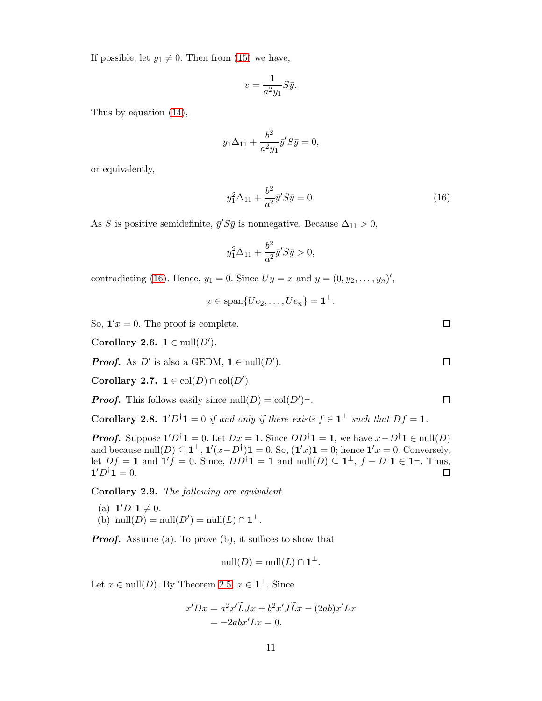If possible, let  $y_1 \neq 0$ . Then from [\(15\)](#page-9-1) we have,

$$
v = \frac{1}{a^2 y_1} S \bar{y}.
$$

Thus by equation [\(14\)](#page-9-2),

$$
y_1 \Delta_{11} + \frac{b^2}{a^2 y_1} \bar{y}' S \bar{y} = 0,
$$

or equivalently,

<span id="page-10-0"></span>
$$
y_1^2 \Delta_{11} + \frac{b^2}{a^2} \bar{y}' S \bar{y} = 0.
$$
 (16)

As S is positive semidefinite,  $\bar{y}'S\bar{y}$  is nonnegative. Because  $\Delta_{11} > 0$ ,

$$
y_1^2 \Delta_{11} + \frac{b^2}{a^2} \bar{y}' S \bar{y} > 0,
$$

contradicting [\(16\)](#page-10-0). Hence,  $y_1 = 0$ . Since  $Uy = x$  and  $y = (0, y_2, \ldots, y_n)'$ ,

$$
x \in \text{span}\{Ue_2, \ldots, Ue_n\} = \mathbf{1}^{\perp}.
$$

So,  $1/x = 0$ . The proof is complete.

**Corollary 2.6.**  $1 \in \text{null}(D')$ .

**Proof.** As D' is also a GEDM,  $1 \in \text{null}(D')$ .

Corollary 2.7.  $1 \in \text{col}(D) \cap \text{col}(D')$ .

**Proof.** This follows easily since  $null(D) = col(D')^{\perp}$ .

<span id="page-10-1"></span>**Corollary 2.8.**  $1'D^{\dagger}1 = 0$  if and only if there exists  $f \in 1^{\perp}$  such that  $Df = 1$ .

**Proof.** Suppose  $\mathbf{1}'D^{\dagger}\mathbf{1} = 0$ . Let  $Dx = \mathbf{1}$ . Since  $DD^{\dagger}\mathbf{1} = \mathbf{1}$ , we have  $x - D^{\dagger}\mathbf{1} \in \text{null}(D)$ and because  $null(D) \subseteq 1^{\perp}, 1'(x-D^{\dagger})\mathbf{1} = 0$ . So,  $(1'x)\mathbf{1} = 0$ ; hence  $1'x = 0$ . Conversely, let  $Df = 1$  and  $\mathbf{1}'f = 0$ . Since,  $DD^{\dagger} \mathbf{1} = 1$  and  $\text{null}(D) \subseteq \mathbf{1}^{\perp}$ ,  $f - D^{\dagger} \mathbf{1} \in \mathbf{1}^{\perp}$ . Thus,  $\Box$  $1'D^{\dagger}1 = 0.$ 

Corollary 2.9. The following are equivalent.

(a) 
$$
\mathbf{1}'D^{\dagger}\mathbf{1} \neq 0
$$
.  
(b) null(D) = null(D') = null(L) \cap \mathbf{1}^{\perp}.

**Proof.** Assume (a). To prove (b), it suffices to show that

$$
\mathrm{null}(D) = \mathrm{null}(L) \cap \mathbf{1}^{\perp}.
$$

Let  $x \in \text{null}(D)$ . By Theorem [2](#page-9-3).5,  $x \in \mathbf{1}^{\perp}$ . Since

$$
x'Dx = a2x'\widetilde{L}Jx + b2x'\widetilde{J}Lx - (2ab)x'Lx
$$
  
= -2abx'Lx = 0.

 $\Box$ 

 $\Box$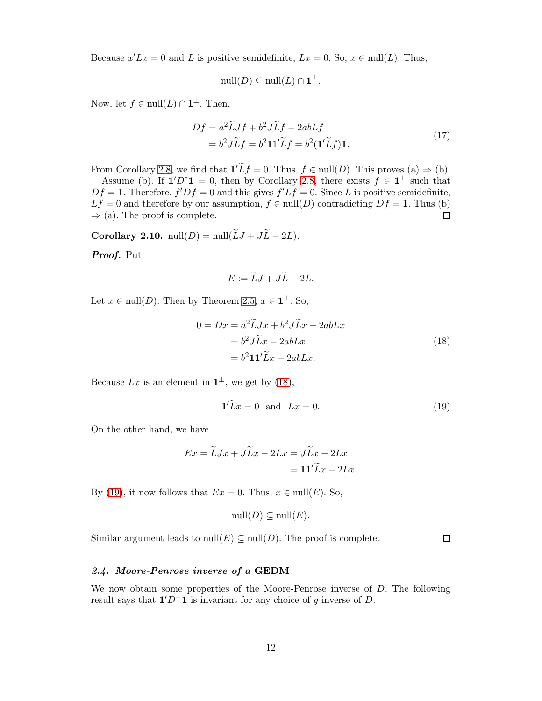Because  $x'Lx = 0$  and L is positive semidefinite,  $Lx = 0$ . So,  $x \in null(L)$ . Thus,

$$
\mathrm{null}(D) \subseteq \mathrm{null}(L) \cap \mathbf{1}^{\perp}.
$$

Now, let  $f \in \text{null}(L) \cap \mathbf{1}^{\perp}$ . Then,

$$
Df = a^2 \widetilde{L} Jf + b^2 J \widetilde{L}f - 2abLf
$$
  
=  $b^2 J \widetilde{L}f = b^2 11' \widetilde{L}f = b^2 (1' \widetilde{L}f) 1.$  (17)

From Corollary [2.8,](#page-10-1) we find that  $1'Lf = 0$ . Thus,  $f \in null(D)$ . This proves (a)  $\Rightarrow$  (b).

Assume (b). If  $\mathbf{1}'D^{\dagger}\mathbf{1} = 0$ , then by Corollary [2.8,](#page-10-1) there exists  $f \in \mathbf{1}^{\perp}$  such that  $Df = 1$ . Therefore,  $f'Df = 0$  and this gives  $f'Lf = 0$ . Since L is positive semidefinite, *Lf* = 0 and therefore by our assumption, *f* ∈ null(*D*) contradicting *Df* = 1. Thus (b)  $\Rightarrow$  (a). The proof is complete.  $\Rightarrow$  (a). The proof is complete.

<span id="page-11-2"></span>Corollary 2.10. null(D) = null( $\widetilde{L}J + J\widetilde{L} - 2L$ ).

Proof. Put

$$
E := \widetilde{L}J + J\widetilde{L} - 2L.
$$

Let  $x \in \text{null}(D)$ . Then by Theorem 2.[5,](#page-9-3)  $x \in \mathbf{1}^{\perp}$ . So,

<span id="page-11-0"></span>
$$
0 = Dx = a^2 \widetilde{L} Jx + b^2 J \widetilde{L}x - 2abLx
$$
  
=  $b^2 J \widetilde{L}x - 2abLx$   
=  $b^2 11' \widetilde{L}x - 2abLx$ . (18)

Because Lx is an element in  $\mathbf{1}^{\perp}$ , we get by [\(18\)](#page-11-0),

<span id="page-11-1"></span>
$$
\mathbf{1}'\widetilde{L}x = 0 \quad \text{and} \quad Lx = 0. \tag{19}
$$

On the other hand, we have

$$
Ex = \widetilde{L}Jx + J\widetilde{L}x - 2Lx = J\widetilde{L}x - 2Lx
$$

$$
= 11'\widetilde{L}x - 2Lx.
$$

By [\(19\)](#page-11-1), it now follows that  $Ex = 0$ . Thus,  $x \in null(E)$ . So,

$$
\mathrm{null}(D) \subseteq \mathrm{null}(E).
$$

Similar argument leads to  $null(E) \subseteq null(D)$ . The proof is complete.

 $\Box$ 

## 2.4. Moore-Penrose inverse of a GEDM

We now obtain some properties of the Moore-Penrose inverse of D. The following result says that  $1'D^-1$  is invariant for any choice of g-inverse of D.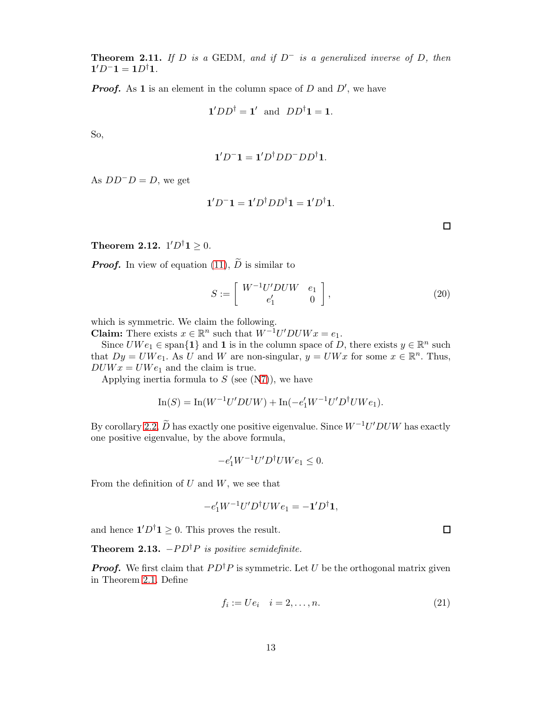**Theorem 2.11.** If D is a GEDM, and if  $D^-$  is a generalized inverse of D, then  $1'D^-1 = 1D^{\dagger}1.$ 

**Proof.** As 1 is an element in the column space of D and  $D'$ , we have

$$
\mathbf{1}' D D^{\dagger} = \mathbf{1}' \text{ and } DD^{\dagger} \mathbf{1} = \mathbf{1}.
$$

So,

$$
\mathbf{1}'D^{-}\mathbf{1}=\mathbf{1}'D^{\dagger}DD^{-}DD^{\dagger}\mathbf{1}.
$$

As  $DD^{-}D = D$ , we get

$$
\mathbf{1}'D^{-}\mathbf{1}=\mathbf{1}'D^{\dagger}DD^{\dagger}\mathbf{1}=\mathbf{1}'D^{\dagger}\mathbf{1}.
$$

**Theorem 2.12.**  $1'D^{\dagger}1 \geq 0$ .

**Proof.** In view of equation [\(11\)](#page-7-1),  $\widetilde{D}$  is similar to

$$
S := \left[ \begin{array}{cc} W^{-1}U'DUW & e_1 \\ e'_1 & 0 \end{array} \right],
$$
 (20)

which is symmetric. We claim the following.

**Claim:** There exists  $x \in \mathbb{R}^n$  such that  $W^{-1}U'DUWx = e_1$ .

Since  $UWe_1 \in \text{span}\{\mathbf{1}\}\$  and  $\mathbf{1}$  is in the column space of D, there exists  $y \in \mathbb{R}^n$  such that  $Dy = UWe_1$ . As U and W are non-singular,  $y = UWx$  for some  $x \in \mathbb{R}^n$ . Thus,  $DUWx = UWe_1$  and the claim is true.

Applying inertia formula to  $S$  (see  $(N7)$  $(N7)$ ), we have

$$
\ln(S) = \ln(W^{-1}U'DUW) + \ln(-e'_1W^{-1}U'D^{\dagger}UWe_1).
$$

By corollary [2.2,](#page-6-2)  $\tilde{D}$  has exactly one positive eigenvalue. Since  $W^{-1}U'DUW$  has exactly one positive eigenvalue, by the above formula,

$$
-e_1'W^{-1}U'D^{\dagger}UWe_1 \leq 0.
$$

From the definition of  $U$  and  $W$ , we see that

$$
-e_1'W^{-1}U'D^{\dagger}UWe_1 = -\mathbf{1}'D^{\dagger}\mathbf{1},
$$

and hence  $\mathbf{1}'D^{\dagger}\mathbf{1} \geq 0$ . This proves the result.

<span id="page-12-1"></span>Theorem 2.13.  $-PD^{\dagger}P$  is positive semidefinite.

**Proof.** We first claim that  $PD^{\dagger}P$  is symmetric. Let U be the orthogonal matrix given in Theorem 2.[1.](#page-5-0) Define

<span id="page-12-0"></span>
$$
f_i := U e_i \quad i = 2, \dots, n. \tag{21}
$$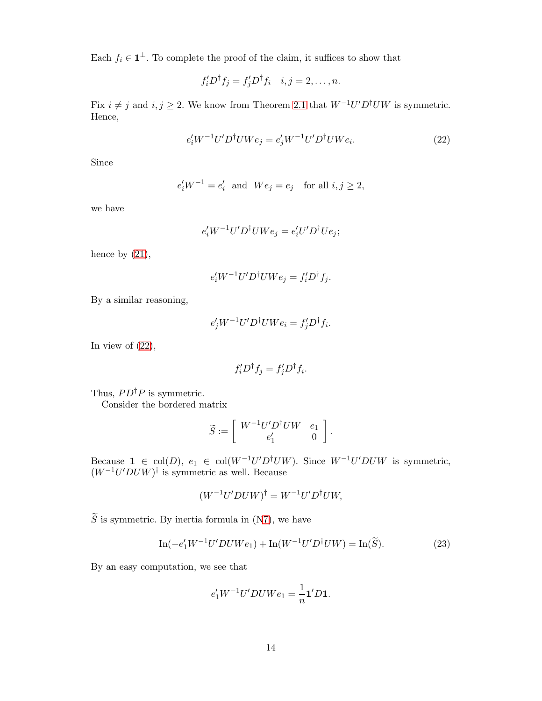Each  $f_i \in \mathbb{1}^{\perp}$ . To complete the proof of the claim, it suffices to show that

$$
f_i'D^{\dagger} f_j = f_j'D^{\dagger} f_i \quad i, j = 2, \dots, n.
$$

Fix  $i \neq j$  and  $i, j \geq 2$ . We know from Theorem 2.[1](#page-5-0) that  $W^{-1}U'D^{\dagger}UW$  is symmetric. Hence,

<span id="page-13-0"></span>
$$
e_i' W^{-1} U' D^{\dagger} U W e_j = e_j' W^{-1} U' D^{\dagger} U W e_i.
$$
\n
$$
(22)
$$

Since

$$
e'_i W^{-1} = e'_i \quad \text{and} \quad We_j = e_j \quad \text{for all } i, j \ge 2,
$$

we have

$$
e_i' W^{-1} U' D^{\dagger} U W e_j = e_i' U' D^{\dagger} U e_j;
$$

hence by  $(21)$ ,

$$
e_i' W^{-1} U' D^{\dagger} U W e_j = f_i' D^{\dagger} f_j.
$$

By a similar reasoning,

$$
e'_{j}W^{-1}U'D^{\dagger}UWe_{i} = f'_{j}D^{\dagger}f_{i}.
$$

In view of  $(22)$ ,

$$
f_i'D^{\dagger} f_j = f_j'D^{\dagger} f_i.
$$

Thus,  $PD^{\dagger}P$  is symmetric.

Consider the bordered matrix

$$
\widetilde{S}:=\left[\begin{array}{cc} W^{-1}U'D^\dagger UW & e_1 \\ e'_1 & 0 \end{array}\right].
$$

Because  $1 \in \text{col}(D)$ ,  $e_1 \in \text{col}(W^{-1}U'D^{\dagger}UW)$ . Since  $W^{-1}U'DUW$  is symmetric,  $(W^{-1}U'DUW)^{\dagger}$  is symmetric as well. Because

$$
(W^{-1}U'DUW)^{\dagger} = W^{-1}U'D^{\dagger}UW,
$$

 $\widetilde{S}$  is symmetric. By inertia formula in ([N7\)](#page-4-0), we have

<span id="page-13-1"></span>
$$
\ln(-e'_1 W^{-1} U' D U W e_1) + \ln(W^{-1} U' D^{\dagger} U W) = \ln(\widetilde{S}).
$$
\n(23)

By an easy computation, we see that

$$
e'_1 W^{-1} U' D U W e_1 = \frac{1}{n} \mathbf{1}' D \mathbf{1}.
$$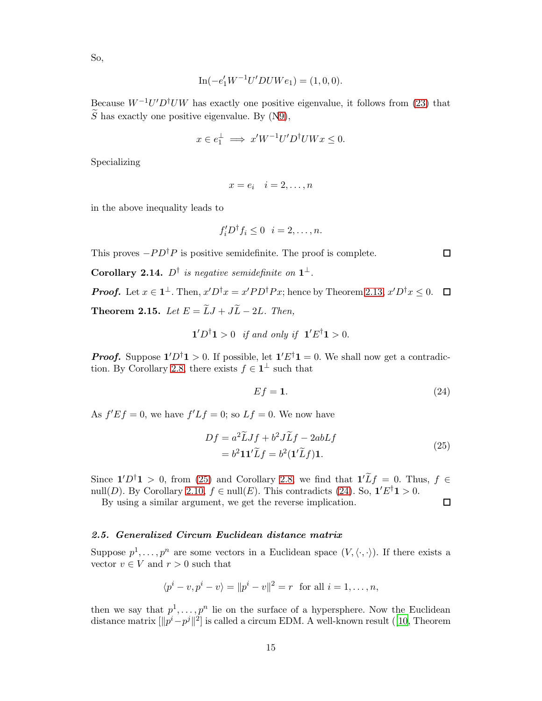So,

$$
\ln(-e'_1 W^{-1} U' D U W e_1) = (1, 0, 0).
$$

Because  $W^{-1}U'D^{\dagger}UW$  has exactly one positive eigenvalue, it follows from [\(23\)](#page-13-1) that  $\widetilde{S}$  has exactly one positive eigenvalue. By ([N9\)](#page-5-1),

$$
x \in e_1^{\perp} \implies x'W^{-1}U'D^{\dagger}UWx \le 0.
$$

Specializing

$$
x = e_i \quad i = 2, \dots, n
$$

in the above inequality leads to

$$
f_i'D^{\dagger} f_i \leq 0 \quad i = 2, \dots, n.
$$

This proves  $-P D^{\dagger} P$  is positive semidefinite. The proof is complete.

**Corollary 2.14.**  $D^{\dagger}$  is negative semidefinite on  $1^{\perp}$ .

<span id="page-14-2"></span>**Proof.** Let  $x \in \mathbf{1}^{\perp}$ . Then,  $x'D^{\dagger}x = x'PD^{\dagger}Px$ ; hence by Theorem [2.13,](#page-12-1)  $x'D^{\dagger}x \leq 0$ . **Theorem 2.15.** Let  $E = \widetilde{L}J + J\widetilde{L} - 2L$ . Then,

 $\mathbf{1}'D^{\dagger}\mathbf{1} > 0$  if and only if  $\mathbf{1}'E^{\dagger}\mathbf{1} > 0$ .

**Proof.** Suppose  $1'D^{\dagger}1 > 0$ . If possible, let  $1'E^{\dagger}1 = 0$ . We shall now get a contradic-tion. By Corollary [2.8,](#page-10-1) there exists  $f \in \mathbf{1}^{\perp}$  such that

<span id="page-14-1"></span>
$$
Ef = 1.\t(24)
$$

As  $f'Ef = 0$ , we have  $f'Lf = 0$ ; so  $Lf = 0$ . We now have

<span id="page-14-0"></span>
$$
Df = a^2 \widetilde{L} Jf + b^2 J \widetilde{L}f - 2abLf
$$
  
= b<sup>2</sup>11'\widetilde{L}f = b<sup>2</sup>(1'\widetilde{L}f)1. (25)

Since  $1'D^{\dagger}1 > 0$ , from [\(25\)](#page-14-0) and Corollary [2.8,](#page-10-1) we find that  $1'Lf = 0$ . Thus,  $f \in$ null(D). By Corollary [2.10,](#page-11-2)  $f \in \text{null}(E)$ . This contradicts [\(24\)](#page-14-1). So,  $1'E^{\dagger}1 > 0$ .

By using a similar argument, we get the reverse implication.

## 2.5. Generalized Circum Euclidean distance matrix

Suppose  $p^1, \ldots, p^n$  are some vectors in a Euclidean space  $(V, \langle \cdot, \cdot \rangle)$ . If there exists a vector  $v \in V$  and  $r > 0$  such that

$$
\langle p^{i} - v, p^{i} - v \rangle = ||p^{i} - v||^{2} = r
$$
 for all  $i = 1, ..., n$ ,

then we say that  $p^1, \ldots, p^n$  lie on the surface of a hypersphere. Now the Euclidean distance matrix  $[\Vert p^{i} - p^{j} \Vert^{2}]$  is called a circum EDM. A well-known result ([\[10](#page-22-7), Theorem

 $\Box$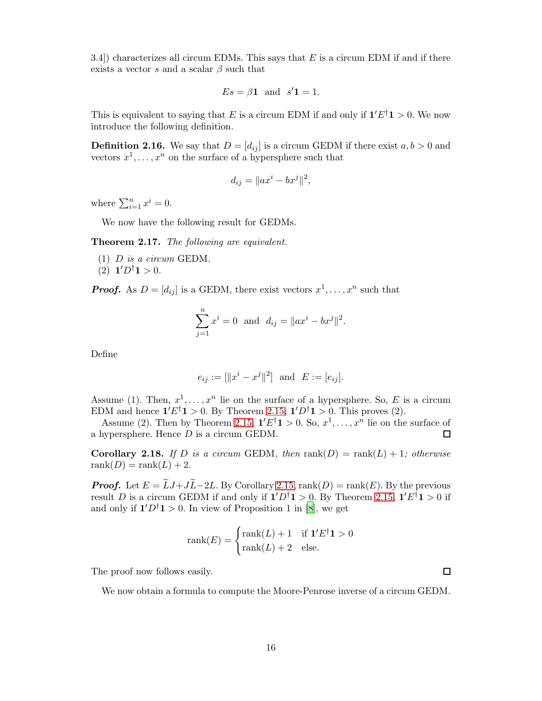3.4) characterizes all circum EDMs. This says that  $E$  is a circum EDM if and if there exists a vector s and a scalar  $\beta$  such that

$$
Es = \beta \mathbf{1} \text{ and } s' \mathbf{1} = 1.
$$

This is equivalent to saying that E is a circum EDM if and only if  $1'E^{\dagger}1 > 0$ . We now introduce the following definition.

**Definition 2.16.** We say that  $D = [d_{ij}]$  is a circum GEDM if there exist  $a, b > 0$  and vectors  $x^1, \ldots, x^n$  on the surface of a hypersphere such that

$$
d_{ij} = \|ax^i - bx^j\|^2,
$$

where  $\sum_{i=1}^{n} x^{i} = 0$ .

We now have the following result for GEDMs.

Theorem 2.17. The following are equivalent.

 $(1)$  D is a circum GEDM.

(2)  $1'D^{\dagger}1 > 0$ .

**Proof.** As  $D = [d_{ij}]$  is a GEDM, there exist vectors  $x^1, \ldots, x^n$  such that

$$
\sum_{j=1}^{n} x^{i} = 0 \text{ and } d_{ij} = ||ax^{i} - bx^{j}||^{2}.
$$

Define

$$
e_{ij} := [\|x^i - x^j\|^2]
$$
 and  $E := [e_{ij}].$ 

Assume (1). Then,  $x^1, \ldots, x^n$  lie on the surface of a hypersphere. So, E is a circum EDM and hence  $1'E^{\dagger}1 > 0$ . By Theorem 2.[15,](#page-14-2)  $1'D^{\dagger}1 > 0$ . This proves (2).

Assume (2). Then by Theorem 2.[15,](#page-14-2)  $1'E^{\dagger}1 > 0$ . So,  $x^1, \ldots, x^n$  lie on the surface of a hypersphere. Hence D is a circum GEDM.  $\Box$ 

**Corollary 2.18.** If D is a circum GEDM, then  $rank(D) = rank(L) + 1$ ; otherwise  $rank(D) = rank(L) + 2.$ 

**Proof.** Let  $E = \widetilde{L}J + J\widetilde{L} - 2L$ . By Corollary [2.15,](#page-14-2) rank $(D) = \text{rank}(E)$ . By the previous result D is a circum GEDM if and only if  $1'D^{\dagger}1 > 0$ . By Theorem [2.15,](#page-14-2)  $1'E^{\dagger}1 > 0$  if and only if  $1'D^{\dagger}1 > 0$ . In view of Proposition 1 in [\[8\]](#page-22-8), we get

$$
rank(E) = \begin{cases} rank(L) + 1 & \text{if } \mathbf{1}'E^{\dagger}\mathbf{1} > 0 \\ rank(L) + 2 & \text{else.} \end{cases}
$$

The proof now follows easily.

We now obtain a formula to compute the Moore-Penrose inverse of a circum GEDM.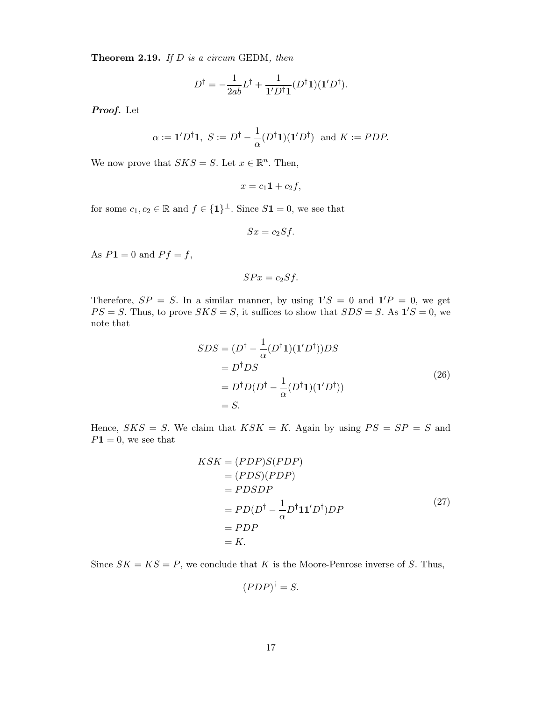**Theorem 2.19.** If  $D$  is a circum GEDM, then

$$
D^{\dagger} = -\frac{1}{2ab}L^{\dagger} + \frac{1}{\mathbf{1}'D^{\dagger}\mathbf{1}}(D^{\dagger}\mathbf{1})(\mathbf{1}'D^{\dagger}).
$$

Proof. Let

$$
\alpha := \mathbf{1}' D^{\dagger} \mathbf{1}, S := D^{\dagger} - \frac{1}{\alpha} (D^{\dagger} \mathbf{1}) (\mathbf{1}' D^{\dagger}) \text{ and } K := P D P.
$$

We now prove that  $SKS = S$ . Let  $x \in \mathbb{R}^n$ . Then,

$$
x=c_1\mathbf{1}+c_2f,
$$

for some  $c_1, c_2 \in \mathbb{R}$  and  $f \in \{1\}^{\perp}$ . Since  $S1 = 0$ , we see that

$$
Sx = c_2 Sf.
$$

As  $P1 = 0$  and  $Pf = f$ ,

$$
SPx = c_2 Sf.
$$

Therefore,  $SP = S$ . In a similar manner, by using  $1'S = 0$  and  $1'P = 0$ , we get  $PS = S$ . Thus, to prove  $SKS = S$ , it suffices to show that  $SDS = S$ . As  $\mathbf{1}'S = 0$ , we note that

$$
SDS = (D^{\dagger} - \frac{1}{\alpha} (D^{\dagger} \mathbf{1})(\mathbf{1}' D^{\dagger})) DS \n= D^{\dagger} DS \n= D^{\dagger} D (D^{\dagger} - \frac{1}{\alpha} (D^{\dagger} \mathbf{1})(\mathbf{1}' D^{\dagger})) \n= S.
$$
\n(26)

Hence,  $SKS = S$ . We claim that  $KSK = K$ . Again by using  $PS = SP = S$  and  $P1 = 0$ , we see that

$$
KSK = (PDP)S(PDP)
$$
  
= (PDS)(PDP)  
= PDSDP  
= PD(D<sup>†</sup> -  $\frac{1}{\alpha}$ D<sup>†</sup>**11'**D<sup>†</sup>)DP  
= PDP  
= K. (27)

Since  $SK = KS = P$ , we conclude that K is the Moore-Penrose inverse of S. Thus,

$$
(PDP)^{\dagger} = S.
$$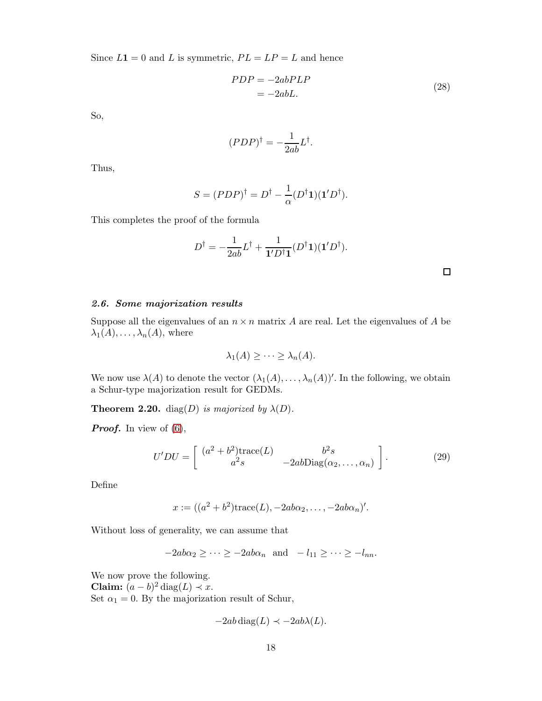Since  $L1 = 0$  and L is symmetric,  $PL = LP = L$  and hence

$$
PDP = -2abPLP
$$
  
= -2abL. (28)

So,

$$
(PDP)^{\dagger} = -\frac{1}{2ab}L^{\dagger}.
$$

Thus,

$$
S = (PDP)^{\dagger} = D^{\dagger} - \frac{1}{\alpha} (D^{\dagger} \mathbf{1}) (\mathbf{1}' D^{\dagger}).
$$

This completes the proof of the formula

$$
D^{\dagger} = -\frac{1}{2ab}L^{\dagger} + \frac{1}{\mathbf{1}'D^{\dagger}\mathbf{1}}(D^{\dagger}\mathbf{1})(\mathbf{1}'D^{\dagger}).
$$

 $\Box$ 

# 2.6. Some majorization results

Suppose all the eigenvalues of an  $n \times n$  matrix A are real. Let the eigenvalues of A be  $\lambda_1(A), \ldots, \lambda_n(A)$ , where

$$
\lambda_1(A) \geq \cdots \geq \lambda_n(A).
$$

We now use  $\lambda(A)$  to denote the vector  $(\lambda_1(A), \ldots, \lambda_n(A))'$ . In the following, we obtain a Schur-type majorization result for GEDMs.

**Theorem 2.20.** diag(D) is majorized by  $\lambda(D)$ .

**Proof.** In view of  $(6)$ ,

$$
U'DU = \begin{bmatrix} (a^2 + b^2) \text{trace}(L) & b^2 s \\ a^2 s & -2ab \text{Diag}(\alpha_2, \dots, \alpha_n) \end{bmatrix}.
$$
 (29)

Define

$$
x := ((a2 + b2)trace(L), -2ab\alpha2, ..., -2ab\alphan)'.
$$

Without loss of generality, we can assume that

 $-2ab\alpha_2 \geq \cdots \geq -2ab\alpha_n$  and  $-l_{11} \geq \cdots \geq -l_{nn}$ .

We now prove the following. Claim:  $(a - b)^2$  diag(L)  $\prec x$ . Set  $\alpha_1 = 0$ . By the majorization result of Schur,

$$
-2ab\operatorname{diag}(L) \prec -2ab\lambda(L).
$$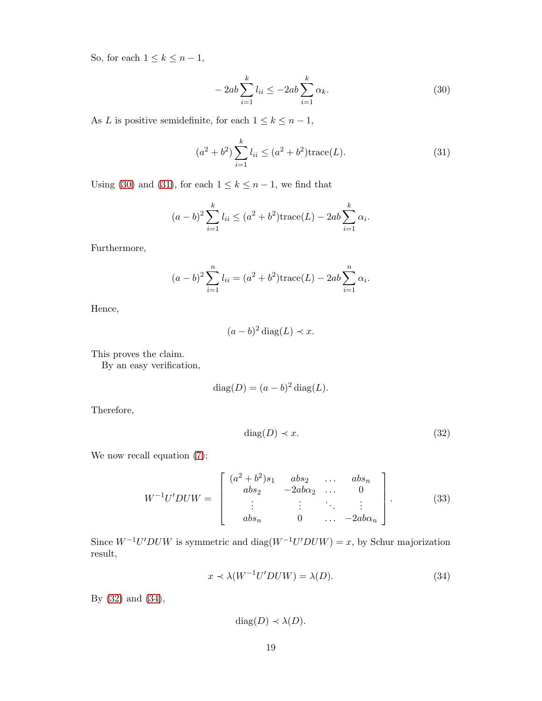So, for each  $1 \leq k \leq n-1$ ,

<span id="page-18-0"></span>
$$
-2ab\sum_{i=1}^{k}l_{ii} \le -2ab\sum_{i=1}^{k}\alpha_{k}.
$$
 (30)

As L is positive semidefinite, for each  $1 \leq k \leq n-1$ ,

<span id="page-18-1"></span>
$$
(a2 + b2) \sum_{i=1}^{k} l_{ii} \leq (a2 + b2) \operatorname{trace}(L).
$$
 (31)

Using [\(30\)](#page-18-0) and [\(31\)](#page-18-1), for each  $1 \leq k \leq n-1$ , we find that

$$
(a-b)^2 \sum_{i=1}^{k} l_{ii} \le (a^2 + b^2) \text{trace}(L) - 2ab \sum_{i=1}^{k} \alpha_i.
$$

Furthermore,

$$
(a - b)^2 \sum_{i=1}^{n} l_{ii} = (a^2 + b^2) \text{trace}(L) - 2ab \sum_{i=1}^{n} \alpha_i.
$$

Hence,

$$
(a-b)^2 \operatorname{diag}(L) \prec x.
$$

This proves the claim.

By an easy verification,

$$
diag(D) = (a - b)^2 diag(L).
$$

Therefore,

<span id="page-18-2"></span>
$$
diag(D) \prec x. \tag{32}
$$

We now recall equation [\(7\)](#page-6-0):

$$
W^{-1}U'DUW = \begin{bmatrix} (a^2 + b^2)s_1 & abs_2 & \dots & abs_n \\ abs_2 & -2ab\alpha_2 & \dots & 0 \\ \vdots & \vdots & \ddots & \vdots \\ abs_n & 0 & \dots & -2ab\alpha_n \end{bmatrix} .
$$
 (33)

Since  $W^{-1}U'DUW$  is symmetric and diag $(W^{-1}U'DUW) = x$ , by Schur majorization result,

<span id="page-18-3"></span>
$$
x \prec \lambda(W^{-1}U'DUW) = \lambda(D). \tag{34}
$$

By [\(32\)](#page-18-2) and [\(34\)](#page-18-3),

$$
diag(D) \prec \lambda(D).
$$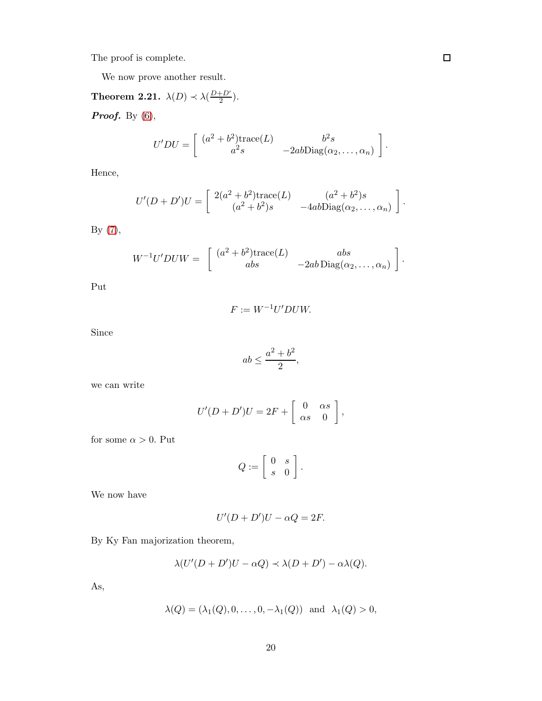The proof is complete.

We now prove another result.

# **Theorem 2.21.**  $\lambda(D) \prec \lambda(\frac{D+D'}{2})$  $\frac{+D'}{2}$ ). **Proof.** By  $(6)$ ,

$$
U'DU = \begin{bmatrix} (a^2 + b^2) \text{trace}(L) & b^2 s \\ a^2 s & -2ab \text{Diag}(\alpha_2, \dots, \alpha_n) \end{bmatrix}.
$$

Hence,

$$
U'(D+D')U = \begin{bmatrix} 2(a^2+b^2)\text{trace}(L) & (a^2+b^2)s \\ (a^2+b^2)s & -4ab\text{Diag}(\alpha_2,\ldots,\alpha_n) \end{bmatrix}.
$$

By [\(7\)](#page-6-0),

$$
W^{-1}U'DUW = \begin{bmatrix} (a^2 + b^2) \text{trace}(L) & abs \\ abs & -2ab \text{Diag}(\alpha_2, \dots, \alpha_n) \end{bmatrix}.
$$

Put

$$
F := W^{-1}U'DUW.
$$

Since

$$
ab \le \frac{a^2 + b^2}{2},
$$

we can write

$$
U'(D+D')U = 2F + \left[\begin{array}{cc} 0 & \alpha s \\ \alpha s & 0 \end{array}\right],
$$

for some  $\alpha>0.$  Put

$$
Q:=\left[\begin{array}{cc} 0 & s \\ s & 0 \end{array}\right].
$$

We now have

$$
U'(D+D')U-\alpha Q=2F.
$$

By Ky Fan majorization theorem,

$$
\lambda(U'(D+D')U-\alpha Q)\prec\lambda(D+D')-\alpha\lambda(Q).
$$

As,

$$
\lambda(Q)=(\lambda_1(Q),0,\ldots,0,-\lambda_1(Q)) \text{ and } \lambda_1(Q)>0,
$$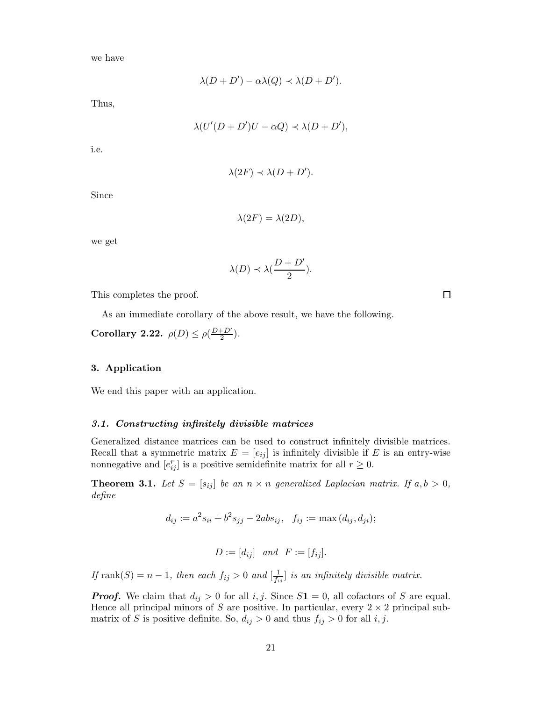we have

$$
\lambda(D+D') - \alpha \lambda(Q) \prec \lambda(D+D').
$$

Thus,

$$
\lambda(U'(D+D')U-\alpha Q)\prec\lambda(D+D'),
$$

i.e.

$$
\lambda(2F) \prec \lambda(D+D').
$$

Since

$$
\lambda(2F) = \lambda(2D),
$$

we get

$$
\lambda(D) \prec \lambda(\frac{D+D'}{2}).
$$

This completes the proof.

As an immediate corollary of the above result, we have the following.

Corollary 2.22.  $\rho(D) \leq \rho(\frac{D+D'}{2})$  $\frac{+D'}{2}$ ).

# 3. Application

We end this paper with an application.

# 3.1. Constructing infinitely divisible matrices

Generalized distance matrices can be used to construct infinitely divisible matrices. Recall that a symmetric matrix  $E = [e_{ij}]$  is infinitely divisible if E is an entry-wise nonnegative and  $[e_{ij}^r]$  is a positive semidefinite matrix for all  $r \geq 0$ .

**Theorem 3.1.** Let  $S = [s_{ij}]$  be an  $n \times n$  generalized Laplacian matrix. If  $a, b > 0$ , define

$$
d_{ij} := a^2 s_{ii} + b^2 s_{jj} - 2ab s_{ij}, \quad f_{ij} := \max (d_{ij}, d_{ji});
$$

$$
D := [d_{ij}] \quad and \quad F := [f_{ij}].
$$

If  $rank(S) = n - 1$ , then each  $f_{ij} > 0$  and  $\left[\frac{1}{f_{ij}}\right]$  is an infinitely divisible matrix.

**Proof.** We claim that  $d_{ij} > 0$  for all i, j. Since  $S_1 = 0$ , all cofactors of S are equal. Hence all principal minors of S are positive. In particular, every  $2 \times 2$  principal submatrix of S is positive definite. So,  $d_{ij} > 0$  and thus  $f_{ij} > 0$  for all i, j.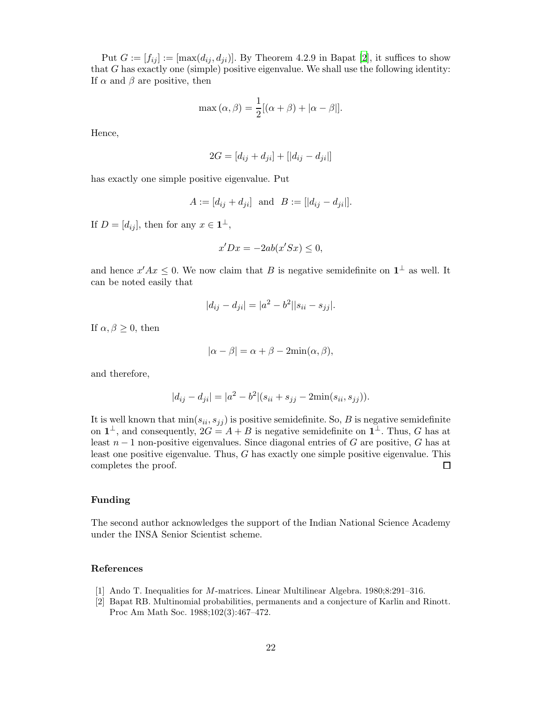Put  $G := [f_{ij}] := [\max(d_{ij}, d_{ji})]$ . By Theorem 4.2.9 in Bapat [\[2](#page-21-1)], it suffices to show that  $G$  has exactly one (simple) positive eigenvalue. We shall use the following identity: If  $\alpha$  and  $\beta$  are positive, then

$$
\max(\alpha, \beta) = \frac{1}{2} [(\alpha + \beta) + |\alpha - \beta|].
$$

Hence,

$$
2G = [d_{ij} + d_{ji}] + [|d_{ij} - d_{ji}|]
$$

has exactly one simple positive eigenvalue. Put

$$
A := [d_{ij} + d_{ji}]
$$
 and  $B := [|d_{ij} - d_{ji}|].$ 

If  $D = [d_{ij}]$ , then for any  $x \in \mathbf{1}^{\perp}$ ,

$$
x'Dx = -2ab(x'Sx) \le 0,
$$

and hence  $x'Ax \leq 0$ . We now claim that B is negative semidefinite on  $\mathbf{1}^{\perp}$  as well. It can be noted easily that

$$
|d_{ij} - d_{ji}| = |a^2 - b^2||s_{ii} - s_{jj}|.
$$

If  $\alpha, \beta \geq 0$ , then

$$
|\alpha - \beta| = \alpha + \beta - 2\min(\alpha, \beta),
$$

and therefore,

$$
|d_{ij} - d_{ji}| = |a^2 - b^2| (s_{ii} + s_{jj} - 2\min(s_{ii}, s_{jj})).
$$

It is well known that  $min(s_{ii}, s_{jj})$  is positive semidefinite. So, B is negative semidefinite on  $1^{\perp}$ , and consequently,  $2G = A + B$  is negative semidefinite on  $1^{\perp}$ . Thus, G has at least  $n-1$  non-positive eigenvalues. Since diagonal entries of G are positive, G has at least one positive eigenvalue. Thus, G has exactly one simple positive eigenvalue. This completes the proof.  $\Box$ 

## Funding

The second author acknowledges the support of the Indian National Science Academy under the INSA Senior Scientist scheme.

# References

- <span id="page-21-0"></span>[1] Ando T. Inequalities for M-matrices. Linear Multilinear Algebra. 1980;8:291–316.
- <span id="page-21-1"></span>[2] Bapat RB. Multinomial probabilities, permanents and a conjecture of Karlin and Rinott. Proc Am Math Soc. 1988;102(3):467–472.